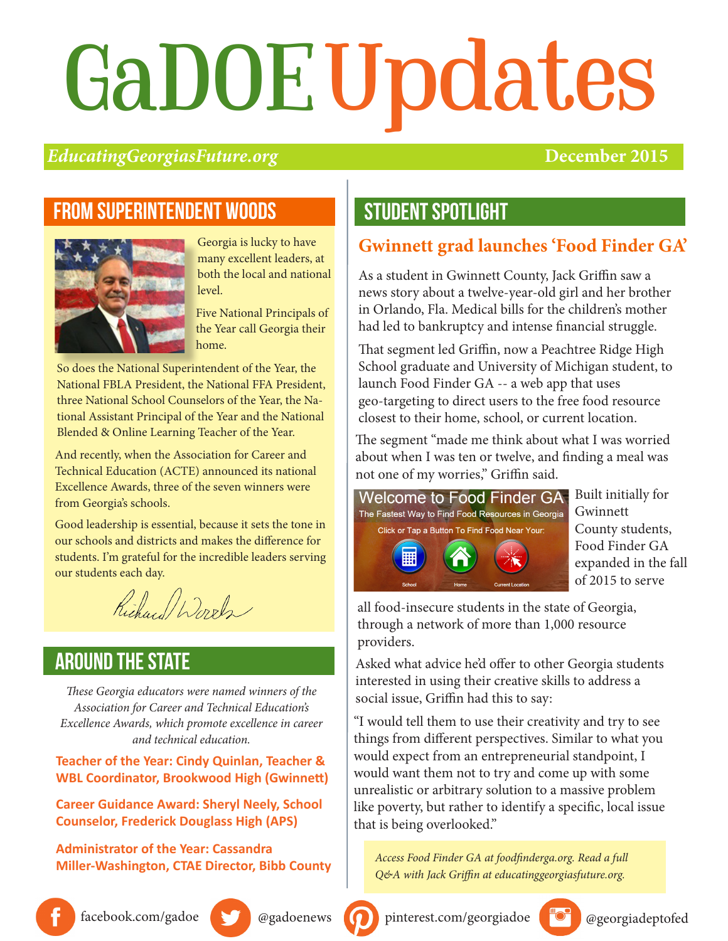# GaDOE Updates

#### *EducatingGeorgiasFuture.org* **December 2015**

#### From superintendent woods



Georgia is lucky to have many excellent leaders, at both the local and national level.

Five National Principals of the Year call Georgia their home.

So does the National Superintendent of the Year, the National FBLA President, the National FFA President, three National School Counselors of the Year, the National Assistant Principal of the Year and the National Blended & Online Learning Teacher of the Year.

And recently, when the Association for Career and Technical Education (ACTE) announced its national Excellence Awards, three of the seven winners were from Georgia's schools.

Good leadership is essential, because it sets the tone in our schools and districts and makes the difference for students. I'm grateful for the incredible leaders serving our students each day.

Richard Words

#### **AROUND THE STATE**

*These Georgia educators were named winners of the Association for Career and Technical Education's Excellence Awards, which promote excellence in career and technical education.*

#### **Teacher of the Year: Cindy Quinlan, Teacher & WBL Coordinator, Brookwood High (Gwinnett)**

**Career Guidance Award: Sheryl Neely, School Counselor, Frederick Douglass High (APS)**

**Administrator of the Year: Cassandra Miller-Washington, CTAE Director, Bibb County**

## student SPOTLIGHT

#### **Gwinnett grad launches 'Food Finder GA'**

As a student in Gwinnett County, Jack Griffin saw a news story about a twelve-year-old girl and her brother in Orlando, Fla. Medical bills for the children's mother had led to bankruptcy and intense financial struggle.

That segment led Griffin, now a Peachtree Ridge High School graduate and University of Michigan student, to launch Food Finder GA -- a web app that uses geo-targeting to direct users to the free food resource closest to their home, school, or current location.

The segment "made me think about what I was worried about when I was ten or twelve, and finding a meal was not one of my worries," Griffin said.



Built initially for Gwinnett County students, Food Finder GA expanded in the fall of 2015 to serve

all food-insecure students in the state of Georgia, through a network of more than 1,000 resource providers.

Asked what advice he'd offer to other Georgia students interested in using their creative skills to address a social issue, Griffin had this to say:

"I would tell them to use their creativity and try to see things from different perspectives. Similar to what you would expect from an entrepreneurial standpoint, I would want them not to try and come up with some unrealistic or arbitrary solution to a massive problem like poverty, but rather to identify a specific, local issue that is being overlooked."

*Access Food Finder GA at foodfinderga.org. Read a full Q&A with Jack Griffin at educatinggeorgiasfuture.org.*